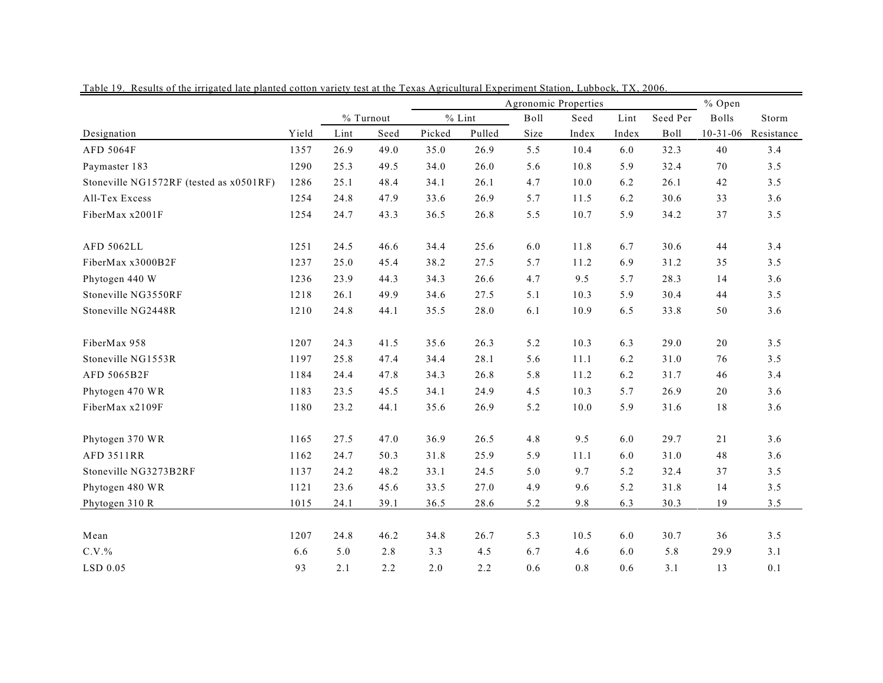|                                         |       |           |      | Agronomic Properties |        |      |       |       |          | % Open         |            |  |
|-----------------------------------------|-------|-----------|------|----------------------|--------|------|-------|-------|----------|----------------|------------|--|
|                                         |       | % Turnout |      | $%$ Lint             |        | Boll | Seed  | Lint  | Seed Per | <b>Bolls</b>   | Storm      |  |
| Designation                             | Yield | Lint      | Seed | Picked               | Pulled | Size | Index | Index | Boll     | $10 - 31 - 06$ | Resistance |  |
| AFD 5064F                               | 1357  | 26.9      | 49.0 | 35.0                 | 26.9   | 5.5  | 10.4  | 6.0   | 32.3     | 40             | 3.4        |  |
| Paymaster 183                           | 1290  | 25.3      | 49.5 | 34.0                 | 26.0   | 5.6  | 10.8  | 5.9   | 32.4     | 70             | 3.5        |  |
| Stoneville NG1572RF (tested as x0501RF) | 1286  | 25.1      | 48.4 | 34.1                 | 26.1   | 4.7  | 10.0  | 6.2   | 26.1     | 42             | 3.5        |  |
| All-Tex Excess                          | 1254  | 24.8      | 47.9 | 33.6                 | 26.9   | 5.7  | 11.5  | 6.2   | 30.6     | 33             | 3.6        |  |
| FiberMax x2001F                         | 1254  | 24.7      | 43.3 | 36.5                 | 26.8   | 5.5  | 10.7  | 5.9   | 34.2     | 37             | 3.5        |  |
| AFD 5062LL                              | 1251  | 24.5      | 46.6 | 34.4                 | 25.6   | 6.0  | 11.8  | 6.7   | 30.6     | 44             | 3.4        |  |
| FiberMax x3000B2F                       | 1237  | 25.0      | 45.4 | 38.2                 | 27.5   | 5.7  | 11.2  | 6.9   | 31.2     | 35             | 3.5        |  |
| Phytogen 440 W                          | 1236  | 23.9      | 44.3 | 34.3                 | 26.6   | 4.7  | 9.5   | 5.7   | 28.3     | 14             | 3.6        |  |
| Stoneville NG3550RF                     | 1218  | 26.1      | 49.9 | 34.6                 | 27.5   | 5.1  | 10.3  | 5.9   | 30.4     | 44             | 3.5        |  |
| Stoneville NG2448R                      | 1210  | 24.8      | 44.1 | 35.5                 | 28.0   | 6.1  | 10.9  | 6.5   | 33.8     | 50             | 3.6        |  |
| FiberMax 958                            | 1207  | 24.3      | 41.5 | 35.6                 | 26.3   | 5.2  | 10.3  | 6.3   | 29.0     | 20             | 3.5        |  |
| Stoneville NG1553R                      | 1197  | 25.8      | 47.4 | 34.4                 | 28.1   | 5.6  | 11.1  | 6.2   | 31.0     | 76             | 3.5        |  |
| AFD 5065B2F                             | 1184  | 24.4      | 47.8 | 34.3                 | 26.8   | 5.8  | 11.2  | 6.2   | 31.7     | 46             | 3.4        |  |
| Phytogen 470 WR                         | 1183  | 23.5      | 45.5 | 34.1                 | 24.9   | 4.5  | 10.3  | 5.7   | 26.9     | 20             | 3.6        |  |
| FiberMax x2109F                         | 1180  | 23.2      | 44.1 | 35.6                 | 26.9   | 5.2  | 10.0  | 5.9   | 31.6     | 18             | 3.6        |  |
| Phytogen 370 WR                         | 1165  | 27.5      | 47.0 | 36.9                 | 26.5   | 4.8  | 9.5   | 6.0   | 29.7     | 21             | 3.6        |  |
| <b>AFD 3511RR</b>                       | 1162  | 24.7      | 50.3 | 31.8                 | 25.9   | 5.9  | 11.1  | 6.0   | 31.0     | 48             | 3.6        |  |
| Stoneville NG3273B2RF                   | 1137  | 24.2      | 48.2 | 33.1                 | 24.5   | 5.0  | 9.7   | 5.2   | 32.4     | 37             | 3.5        |  |
| Phytogen 480 WR                         | 1121  | 23.6      | 45.6 | 33.5                 | 27.0   | 4.9  | 9.6   | 5.2   | 31.8     | 14             | 3.5        |  |
| Phytogen 310 R                          | 1015  | 24.1      | 39.1 | 36.5                 | 28.6   | 5.2  | 9.8   | 6.3   | 30.3     | 19             | 3.5        |  |
| Mean                                    | 1207  | 24.8      | 46.2 | 34.8                 | 26.7   | 5.3  | 10.5  | 6.0   | 30.7     | 36             | 3.5        |  |
| $C.V.$ %                                | 6.6   | 5.0       | 2.8  | 3.3                  | 4.5    | 6.7  | 4.6   | 6.0   | 5.8      | 29.9           | 3.1        |  |
| LSD 0.05                                | 93    | 2.1       | 2.2  | 2.0                  | 2.2    | 0.6  | 0.8   | 0.6   | 3.1      | 13             | 0.1        |  |

Table 19. Results of the irrigated late planted cotton variety test at the Texas Agricultural Experiment Station, Lubbock, TX, 2006.